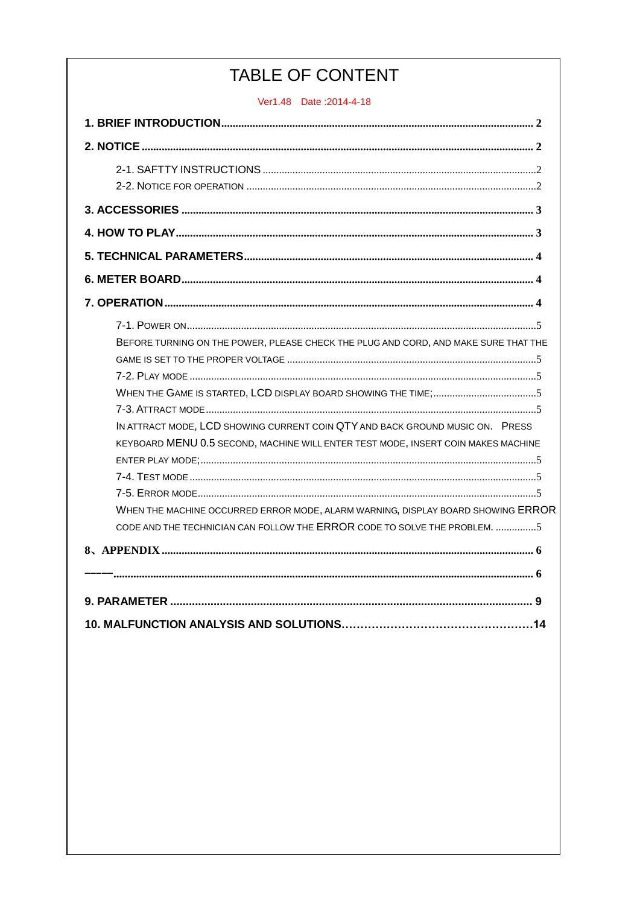# TABLE OF CONTENT

Ver1.48 Date: 2014-4-18

| BEFORE TURNING ON THE POWER, PLEASE CHECK THE PLUG AND CORD, AND MAKE SURE THAT THE |
|-------------------------------------------------------------------------------------|
|                                                                                     |
|                                                                                     |
|                                                                                     |
|                                                                                     |
| IN ATTRACT MODE, LCD SHOWING CURRENT COIN QTY AND BACK GROUND MUSIC ON. PRESS       |
| KEYBOARD MENU 0.5 SECOND, MACHINE WILL ENTER TEST MODE, INSERT COIN MAKES MACHINE   |
|                                                                                     |
|                                                                                     |
|                                                                                     |
| WHEN THE MACHINE OCCURRED ERROR MODE, ALARM WARNING, DISPLAY BOARD SHOWING ERROR    |
| CODE AND THE TECHNICIAN CAN FOLLOW THE ERROR CODE TO SOLVE THE PROBLEM. 5           |
|                                                                                     |
|                                                                                     |
|                                                                                     |
|                                                                                     |
|                                                                                     |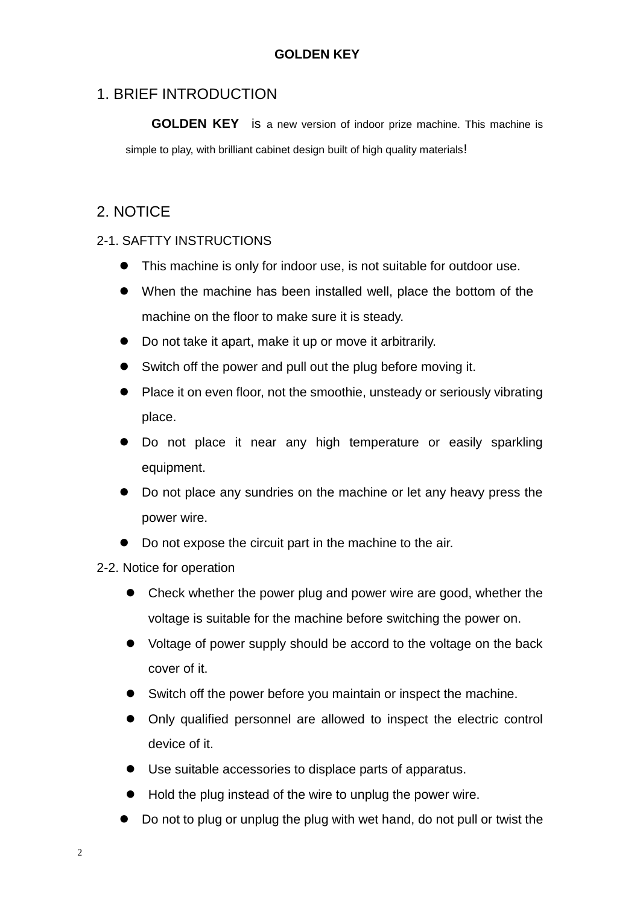## <span id="page-1-0"></span>1. BRIEF INTRODUCTION

**GOLDEN KEY** is a new version of indoor prize machine. This machine is simple to play, with brilliant cabinet design built of high quality materials!

## <span id="page-1-1"></span>2. NOTICE

#### <span id="page-1-2"></span>2-1. SAFTTY INSTRUCTIONS

- This machine is only for indoor use, is not suitable for outdoor use.
- When the machine has been installed well, place the bottom of the machine on the floor to make sure it is steady.
- Do not take it apart, make it up or move it arbitrarily.
- Switch off the power and pull out the plug before moving it.
- Place it on even floor, not the smoothie, unsteady or seriously vibrating place.
- Do not place it near any high temperature or easily sparkling equipment.
- Do not place any sundries on the machine or let any heavy press the power wire.
- Do not expose the circuit part in the machine to the air.

#### <span id="page-1-3"></span>2-2. Notice for operation

- Check whether the power plug and power wire are good, whether the voltage is suitable for the machine before switching the power on.
- Voltage of power supply should be accord to the voltage on the back cover of it.
- Switch off the power before you maintain or inspect the machine.
- Only qualified personnel are allowed to inspect the electric control device of it.
- Use suitable accessories to displace parts of apparatus.
- $\bullet$  Hold the plug instead of the wire to unplug the power wire.
- Do not to plug or unplug the plug with wet hand, do not pull or twist the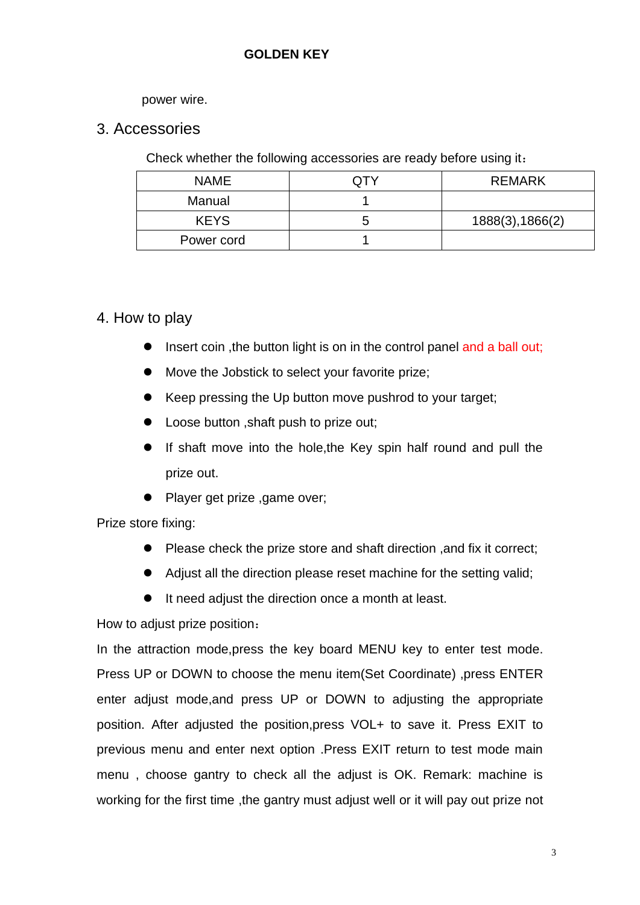#### power wire.

#### <span id="page-2-0"></span>3. Accessories

Check whether the following accessories are ready before using it:

| <b>NAME</b> | <b>REMARK</b>    |
|-------------|------------------|
| Manual      |                  |
| <b>KEYS</b> | 1888(3), 1866(2) |
| Power cord  |                  |

#### <span id="page-2-1"></span>4. How to play

- Insert coin, the button light is on in the control panel and a ball out;
- $\bullet$  Move the Jobstick to select your favorite prize;
- Keep pressing the Up button move pushrod to your target;
- Loose button ,shaft push to prize out;
- If shaft move into the hole,the Key spin half round and pull the prize out.
- Player get prize ,game over;

Prize store fixing:

- **•** Please check the prize store and shaft direction , and fix it correct;
- Adjust all the direction please reset machine for the setting valid;
- It need adjust the direction once a month at least.

How to adjust prize position:

In the attraction mode,press the key board MENU key to enter test mode. Press UP or DOWN to choose the menu item(Set Coordinate) ,press ENTER enter adjust mode,and press UP or DOWN to adjusting the appropriate position. After adjusted the position,press VOL+ to save it. Press EXIT to previous menu and enter next option .Press EXIT return to test mode main menu , choose gantry to check all the adjust is OK. Remark: machine is working for the first time, the gantry must adjust well or it will pay out prize not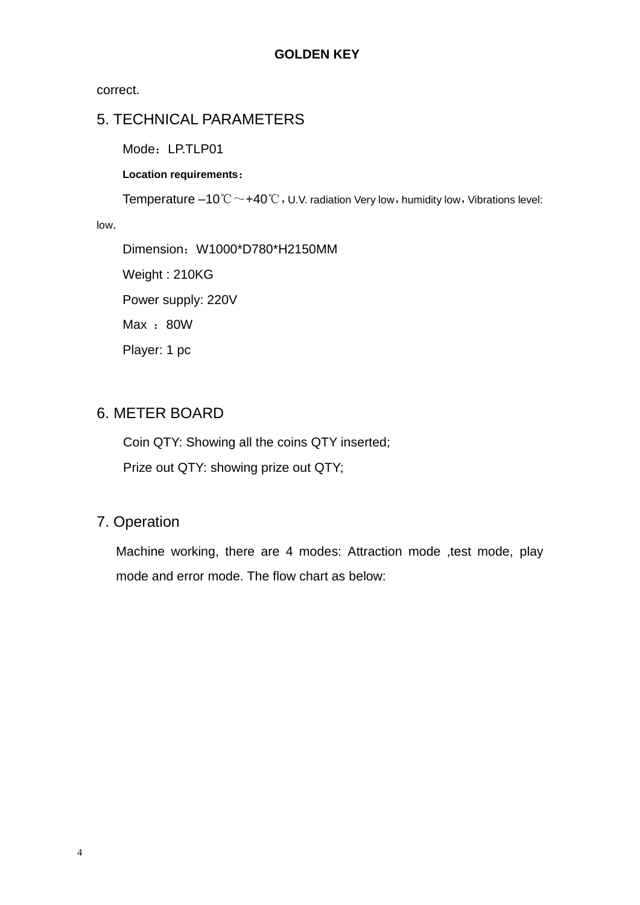correct.

## <span id="page-3-0"></span>5. TECHNICAL PARAMETERS

Mode: LP.TLP01

#### **Location requirements**:

Temperature –10℃  $\sim$  +40℃, U.V. radiation Very low, humidity low, Vibrations level:

low.

Dimension: W1000\*D780\*H2150MM Weight : 210KG Power supply: 220V Max : 80W Player: 1 pc

## <span id="page-3-1"></span>6. METER BOARD

Coin QTY: Showing all the coins QTY inserted; Prize out QTY: showing prize out QTY;

## <span id="page-3-2"></span>7. Operation

Machine working, there are 4 modes: Attraction mode ,test mode, play mode and error mode. The flow chart as below: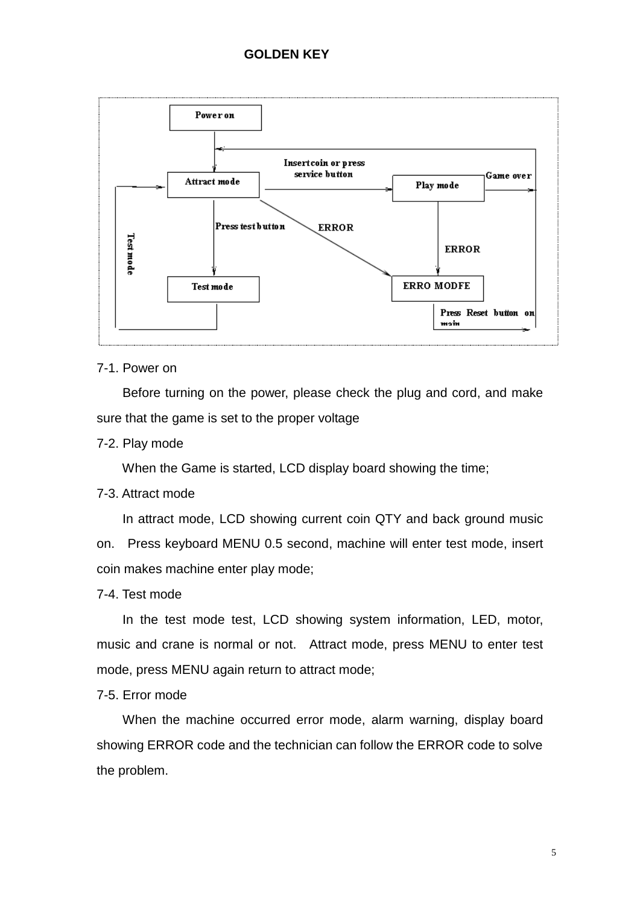

#### <span id="page-4-0"></span>7-1. Power on

<span id="page-4-1"></span> Before turning on the power, please check the plug and cord, and make sure that the game is set to the proper voltage

<span id="page-4-2"></span>7-2. Play mode

<span id="page-4-3"></span>When the Game is started, LCD display board showing the time;

#### <span id="page-4-4"></span>7-3. Attract mode

<span id="page-4-5"></span> In attract mode, LCD showing current coin QTY and back ground music on. Press keyboard MENU 0.5 second, machine will enter test mode, insert coin makes machine enter play mode;

<span id="page-4-6"></span>7-4. Test mode

 In the test mode test, LCD showing system information, LED, motor, music and crane is normal or not. Attract mode, press MENU to enter test mode, press MENU again return to attract mode;

<span id="page-4-7"></span>7-5. Error mode

<span id="page-4-8"></span>When the machine occurred error mode, alarm warning, display board showing ERROR code and the technician can follow the ERROR code to solve the problem.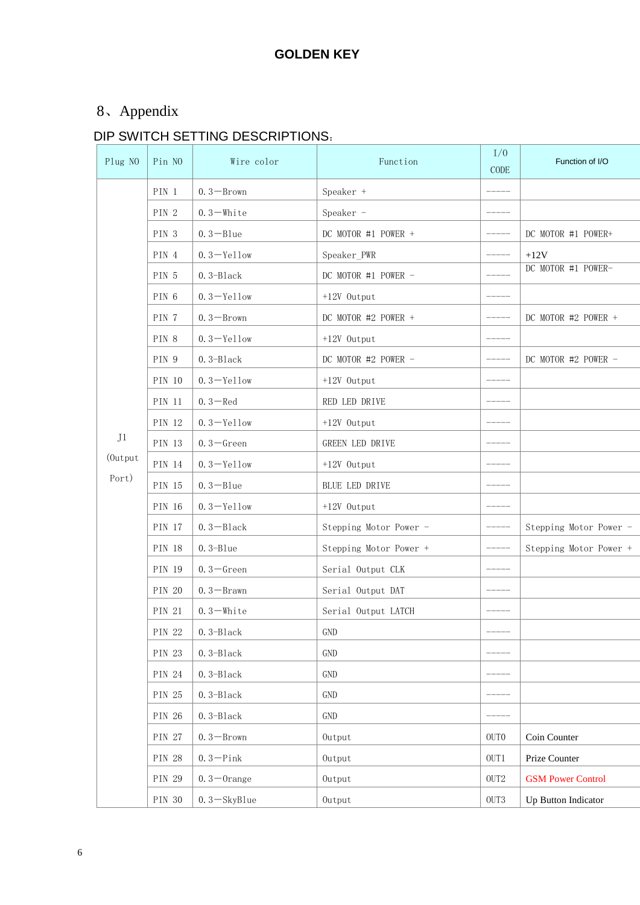# <span id="page-5-0"></span>8、Appendix

# DIP SWITCH SETTING DESCRIPTIONS:

<span id="page-5-1"></span>

| Plug NO | Pin NO        | Wire color      | Function               | I/0<br>CODE | Function of I/O            |
|---------|---------------|-----------------|------------------------|-------------|----------------------------|
|         | PIN 1         | $0.3 - Brown$   | Speaker +              |             |                            |
|         | PIN 2         | $0.3$ -White    | Speaker -              |             |                            |
|         | PIN 3         | $0.3 - B$ lue   | DC MOTOR #1 POWER +    |             | DC MOTOR #1 POWER+         |
|         | PIN 4         | $0.3 -$ Yellow  | Speaker_PWR            |             | $+12V$                     |
|         | PIN 5         | $0.3 - Black$   | DC MOTOR #1 POWER -    |             | DC MOTOR #1 POWER-         |
|         | PIN 6         | $0.3 -$ Yellow  | +12V Output            |             |                            |
|         | PIN 7         | $0.3 - Brown$   | DC MOTOR #2 POWER +    |             | DC MOTOR #2 POWER +        |
|         | PIN 8         | $0.3 -$ Yellow  | +12V Output            |             |                            |
|         | PIN 9         | $0.3 - Black$   | DC MOTOR #2 POWER -    |             | DC MOTOR #2 POWER -        |
|         | <b>PIN 10</b> | $0.3 -$ Yellow  | +12V Output            |             |                            |
|         | PIN 11        | $0.3 - Red$     | RED LED DRIVE          |             |                            |
|         | PIN 12        | $0.3 -$ Yellow  | +12V Output            |             |                            |
| J1      | <b>PIN 13</b> | $0.3 -$ Green   | GREEN LED DRIVE        |             |                            |
| (Output | PIN 14        | $0.3 -$ Yellow  | +12V Output            |             |                            |
| Port)   | PIN 15        | $0.3 - B$ lue   | BLUE LED DRIVE         |             |                            |
|         | PIN 16        | $0.3 -$ Yellow  | +12V Output            |             |                            |
|         | <b>PIN 17</b> | $0.3 - Black$   | Stepping Motor Power - |             | Stepping Motor Power -     |
|         | <b>PIN 18</b> | $0.3 - Blue$    | Stepping Motor Power + |             | Stepping Motor Power +     |
|         | PIN 19        | $0.3 -$ Green   | Serial Output CLK      |             |                            |
|         | <b>PIN 20</b> | $0.3 -$ Brawn   | Serial Output DAT      |             |                            |
|         | PIN 21        | $0.3 -$ White   | Serial Output LATCH    |             |                            |
|         | <b>PIN 22</b> | $0.3 - Black$   | GND                    |             |                            |
|         | <b>PIN 23</b> | $0.3 - Black$   | GND                    |             |                            |
|         | PIN 24        | $0.3 - Black$   | GND                    |             |                            |
|         | PIN 25        | $0.3 - Black$   | GND                    |             |                            |
|         | PIN 26        | $0.3 - Black$   | GND                    |             |                            |
|         | <b>PIN 27</b> | $0.3 - Brown$   | Output                 | OUTO        | Coin Counter               |
|         | <b>PIN 28</b> | $0.3 -$ Pink    | Output                 | OUT1        | Prize Counter              |
|         | PIN 29        | $0.3 - 0$ range | Output                 | $\rm OUT2$  | <b>GSM Power Control</b>   |
|         | <b>PIN 30</b> | $0.3 - SkyBlue$ | Output                 | OUT3        | <b>Up Button Indicator</b> |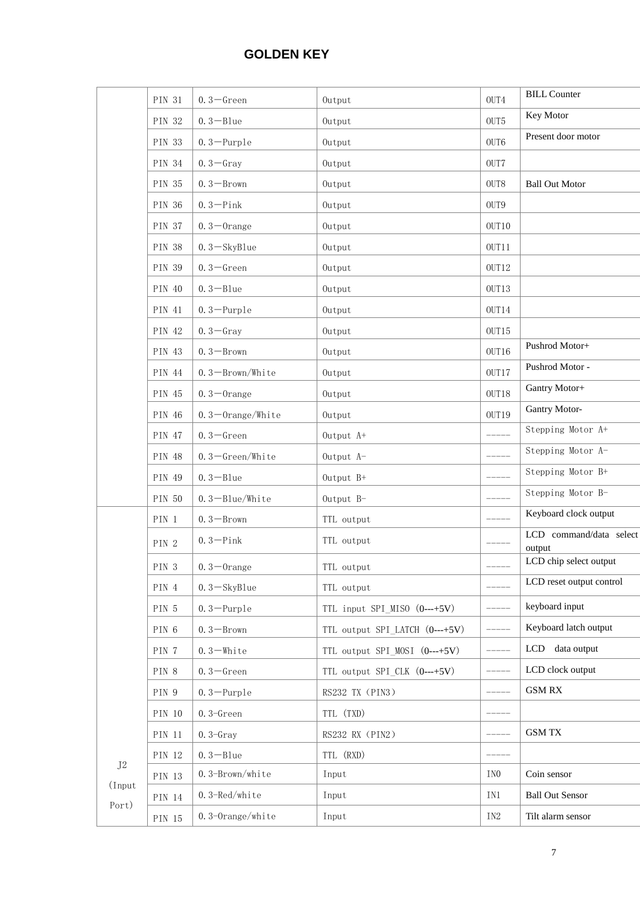|          | PIN 31        | $0.3 -$ Green         | Output                                      | OUT4            | <b>BILL Counter</b>              |
|----------|---------------|-----------------------|---------------------------------------------|-----------------|----------------------------------|
|          | PIN 32        | $0.3 - B$ lue         | Output                                      | OUT5            | Key Motor                        |
|          | PIN 33        | $0.3 -$ Purple        | Output                                      | OUT6            | Present door motor               |
|          | PIN 34        | $0.3 -$ Gray          | Output                                      | OUT7            |                                  |
|          | PIN 35        | $0.3 - Brown$         | Output                                      | OUT8            | <b>Ball Out Motor</b>            |
|          | <b>PIN 36</b> | $0.3 -$ Pink          | Output                                      | OUT9            |                                  |
|          | <b>PIN 37</b> | $0.3 - 0$ range       | Output                                      | OUT10           |                                  |
|          | <b>PIN 38</b> | $0.3 - SkyBlue$       | Output                                      | OUT11           |                                  |
|          | PIN 39        | $0.3 -$ Green         | Output                                      | $OUT12$         |                                  |
|          | PIN 40        | $0.3 - B$ lue         | Output                                      | OUT13           |                                  |
|          | PIN 41        | $0.3 -$ Purple        | Output                                      | OUT14           |                                  |
|          | PIN 42        | $0.3 - Gray$          | Output                                      | OUT15           |                                  |
|          | PIN 43        | $0.3 - Brown$         | Output                                      | OUT16           | Pushrod Motor+                   |
|          | PIN 44        | $0.3 - Brown/White$   | Output                                      | OUT17           | Pushrod Motor -                  |
|          | PIN 45        | $0.3 - 0$ range       | Output                                      | OUT18           | Gantry Motor+                    |
|          | PIN 46        | $0.3 - 0$ range/White | Output                                      | OUT19           | <b>Gantry Motor-</b>             |
|          | PIN 47        | $0.3 -$ Green         | Output A+                                   |                 | Stepping Motor A+                |
|          | PIN 48        | $0.3 -$ Green/White   | Output A-                                   | $--- - - -$     | Stepping Motor A-                |
|          | PIN 49        | $0.3 - B$ lue         | Output B+                                   | $- - - - -$     | Stepping Motor B+                |
|          | PIN 50        | $0.3 - Blue/White$    | Output B-                                   |                 | Stepping Motor B-                |
|          | PIN 1         | $0.3 - Brown$         | TTL output                                  |                 | Keyboard clock output            |
|          |               | $0.3 -$ Pink          | TTL output                                  |                 | LCD command/data select          |
|          | PIN 2         |                       |                                             |                 | output<br>LCD chip select output |
|          | PIN 3         | $0.3 - 0$ range       | $\operatorname{TL}$ $\operatorname{output}$ |                 |                                  |
|          | PIN 4         | $0.3 - SkyBlue$       | TTL output                                  |                 | LCD reset output control         |
|          | PIN 5         | $0.3 - \text{Purple}$ | TTL input SPI_MISO (0---+5V)                | -----           | keyboard input                   |
|          | PIN 6         | $0.3 - Brown$         | TTL output SPI LATCH (0---+5V)              | -----           | Keyboard latch output            |
|          | PIN 7         | $0.3 -$ White         | TTL output SPI MOSI (0---+5V)               | $--- - -$       | LCD data output                  |
|          | PIN 8         | $0.3 -$ Green         | TTL output SPI CLK (0---+5V)                | ------          | LCD clock output                 |
|          | PIN 9         | $0.3 - \text{Purple}$ | RS232 TX (PIN3)                             | $--- - - -$     | <b>GSM RX</b>                    |
|          | PIN 10        | $0.3 - Green$         | TTL (TXD)                                   |                 |                                  |
|          | PIN 11        | $0.3 - Gray$          | RS232 RX (PIN2)                             | $--- - - -$     | <b>GSM TX</b>                    |
| $\rm J2$ | PIN 12        | $0.3 - B$ lue         | TTL (RXD)                                   |                 |                                  |
| (Input   | PIN 13        | 0.3-Brown/white       | Input                                       | IN <sub>0</sub> | Coin sensor                      |
| Port)    | PIN 14        | $0.3 - Red/white$     | Input                                       | IN1             | <b>Ball Out Sensor</b>           |
|          | PIN 15        | 0.3-Orange/white      | Input                                       | IN2             | Tilt alarm sensor                |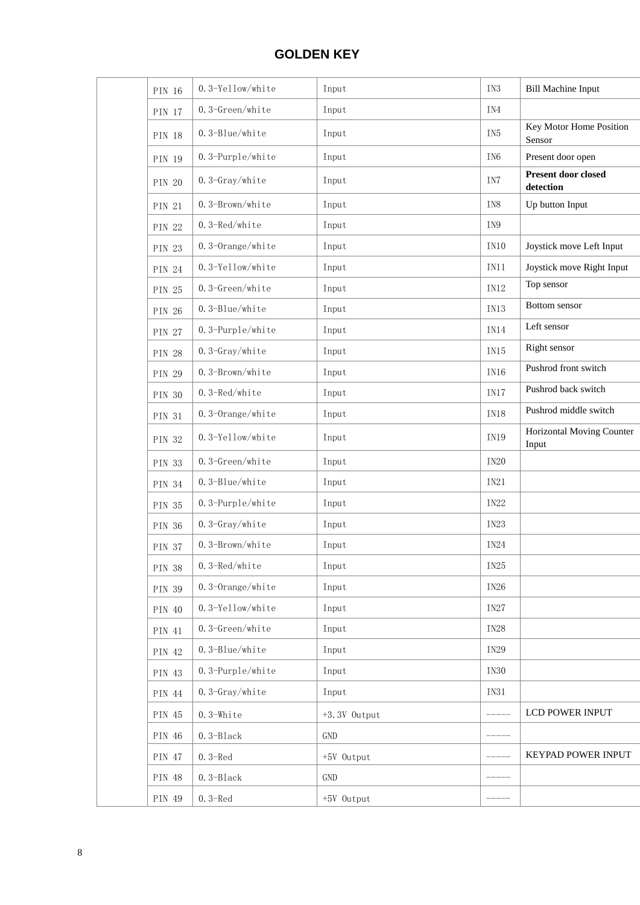| PIN 16        | 0.3-Yellow/white   | Input        | IN3             | <b>Bill Machine Input</b>          |
|---------------|--------------------|--------------|-----------------|------------------------------------|
| PIN 17        | 0.3-Green/white    | Input        | IN4             |                                    |
| PIN 18        | 0.3-Blue/white     | Input        | IN <sub>5</sub> | Key Motor Home Position<br>Sensor  |
| <b>PIN 19</b> | 0.3-Purple/white   | Input        | IN <sub>6</sub> | Present door open                  |
| <b>PIN 20</b> | 0.3-Gray/white     | Input        | IN7             | Present door closed<br>detection   |
| PIN 21        | 0.3-Brown/white    | Input        | IN8             | Up button Input                    |
| <b>PIN 22</b> | 0.3-Red/white      | Input        | IN9             |                                    |
| PIN 23        | 0.3-Orange/white   | Input        | IN10            | Joystick move Left Input           |
| PIN 24        | 0.3-Yellow/white   | Input        | IN11            | Joystick move Right Input          |
| PIN 25        | 0.3-Green/white    | Input        | IN12            | Top sensor                         |
| PIN 26        | 0.3-Blue/white     | Input        | IN13            | Bottom sensor                      |
| PIN 27        | 0.3-Purple/white   | Input        | <b>IN14</b>     | Left sensor                        |
| <b>PIN 28</b> | $0.3 - Gray/white$ | Input        | IN15            | Right sensor                       |
| PIN 29        | 0.3-Brown/white    | Input        | IN16            | Pushrod front switch               |
| <b>PIN 30</b> | 0.3-Red/white      | Input        | IN17            | Pushrod back switch                |
| PIN 31        | 0.3-Orange/white   | Input        | IN18            | Pushrod middle switch              |
| PIN 32        | 0.3-Yellow/white   | Input        | IN19            | Horizontal Moving Counter<br>Input |
| PIN 33        | 0.3-Green/white    | Input        | <b>IN20</b>     |                                    |
| PIN 34        | 0.3-Blue/white     | Input        | IN21            |                                    |
| PIN 35        | 0.3-Purple/white   | Input        | <b>IN22</b>     |                                    |
| <b>PIN 36</b> | $0.3 - Gray/while$ | Input        | IN23            |                                    |
| <b>PIN 37</b> | 0.3-Brown/white    | Input        | <b>IN24</b>     |                                    |
| PIN 38        | 0.3-Red/white      | Input        | $IN25$          |                                    |
| PIN 39        | 0.3-Orange/white   | Input        | <b>IN26</b>     |                                    |
| PIN 40        | 0.3-Yellow/white   | Input        | $IN27$          |                                    |
| PIN 41        | 0.3-Green/white    | Input        | <b>IN28</b>     |                                    |
| PIN 42        | 0.3-Blue/white     | Input        | <b>IN29</b>     |                                    |
| PIN 43        | 0.3-Purple/white   | Input        | <b>IN30</b>     |                                    |
| PIN 44        | 0.3-Gray/white     | Input        | IN31            |                                    |
| PIN 45        | $0.3$ -White       | +3.3V Output |                 | LCD POWER INPUT                    |
| PIN 46        | $0.3 - Black$      | <b>GND</b>   |                 |                                    |
| PIN 47        | $0.3 - Red$        | +5V Output   |                 | KEYPAD POWER INPUT                 |
| PIN 48        | $0.3 - Black$      | GND          |                 |                                    |
| PIN 49        | $0.3 - Red$        | +5V Output   | $-$ - - - - -   |                                    |
|               |                    |              |                 |                                    |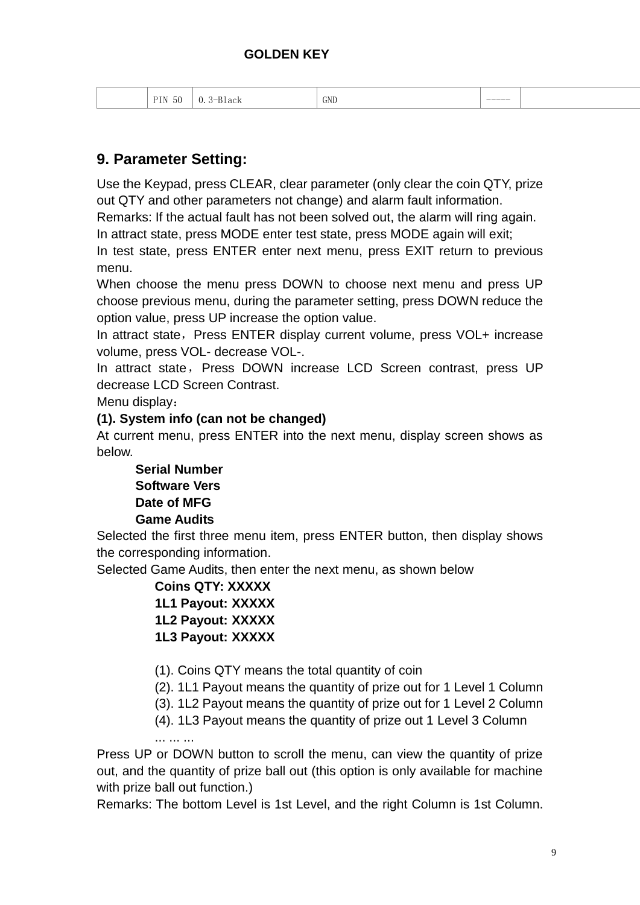| GNL<br>ЮG<br>ΊN |
|-----------------|
|-----------------|

## **9. Parameter Setting:**

Use the Keypad, press CLEAR, clear parameter (only clear the coin QTY, prize out QTY and other parameters not change) and alarm fault information.

Remarks: If the actual fault has not been solved out, the alarm will ring again.

In attract state, press MODE enter test state, press MODE again will exit;

In test state, press ENTER enter next menu, press EXIT return to previous menu.

When choose the menu press DOWN to choose next menu and press UP choose previous menu, during the parameter setting, press DOWN reduce the option value, press UP increase the option value.

In attract state, Press ENTER display current volume, press VOL+ increase volume, press VOL- decrease VOL-.

In attract state, Press DOWN increase LCD Screen contrast, press UP decrease LCD Screen Contrast.

Menu display:

#### **(1). System info (can not be changed)**

At current menu, press ENTER into the next menu, display screen shows as below.

 **Serial Number Software Vers Date of MFG Game Audits**

Selected the first three menu item, press ENTER button, then display shows the corresponding information.

Selected Game Audits, then enter the next menu, as shown below

 **Coins QTY: XXXXX 1L1 Payout: XXXXX 1L2 Payout: XXXXX 1L3 Payout: XXXXX**

(1). Coins QTY means the total quantity of coin

- (2). 1L1 Payout means the quantity of prize out for 1 Level 1 Column
- (3). 1L2 Payout means the quantity of prize out for 1 Level 2 Column
- (4). 1L3 Payout means the quantity of prize out 1 Level 3 Column ... ... ...

Press UP or DOWN button to scroll the menu, can view the quantity of prize out, and the quantity of prize ball out (this option is only available for machine with prize ball out function.)

Remarks: The bottom Level is 1st Level, and the right Column is 1st Column.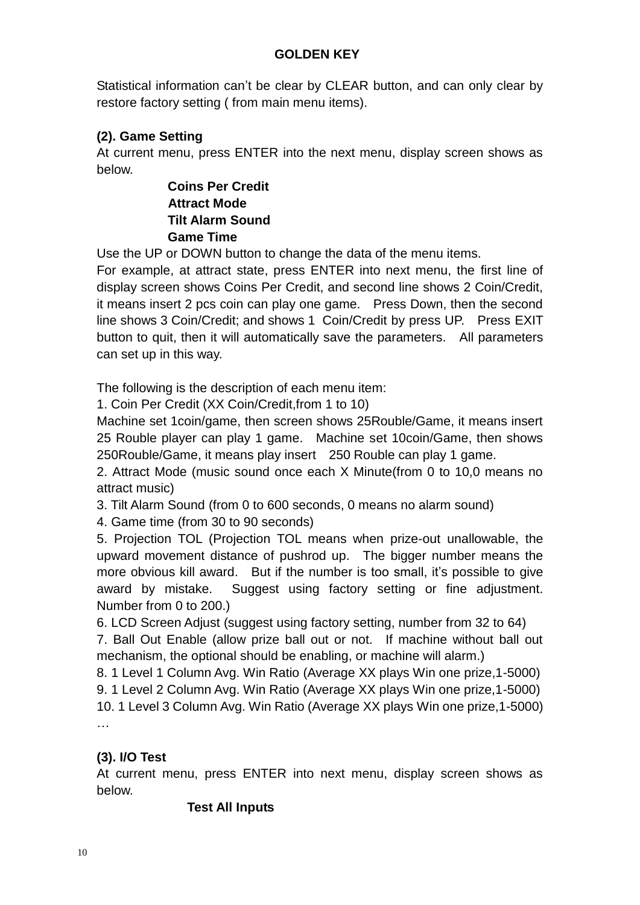Statistical information can't be clear by CLEAR button, and can only clear by restore factory setting ( from main menu items).

## **(2). Game Setting**

At current menu, press ENTER into the next menu, display screen shows as below.

> **Coins Per Credit Attract Mode Tilt Alarm Sound Game Time**

Use the UP or DOWN button to change the data of the menu items.

For example, at attract state, press ENTER into next menu, the first line of display screen shows Coins Per Credit, and second line shows 2 Coin/Credit, it means insert 2 pcs coin can play one game. Press Down, then the second line shows 3 Coin/Credit; and shows 1 Coin/Credit by press UP. Press EXIT button to quit, then it will automatically save the parameters. All parameters can set up in this way.

The following is the description of each menu item:

1. Coin Per Credit (XX Coin/Credit,from 1 to 10)

Machine set 1coin/game, then screen shows 25Rouble/Game, it means insert 25 Rouble player can play 1 game. Machine set 10coin/Game, then shows 250Rouble/Game, it means play insert 250 Rouble can play 1 game.

2. Attract Mode (music sound once each X Minute(from 0 to 10,0 means no attract music)

3. Tilt Alarm Sound (from 0 to 600 seconds, 0 means no alarm sound)

4. Game time (from 30 to 90 seconds)

5. Projection TOL (Projection TOL means when prize-out unallowable, the upward movement distance of pushrod up. The bigger number means the more obvious kill award. But if the number is too small, it's possible to give award by mistake. Suggest using factory setting or fine adjustment. Number from 0 to 200.)

6. LCD Screen Adjust (suggest using factory setting, number from 32 to 64)

7. Ball Out Enable (allow prize ball out or not. If machine without ball out mechanism, the optional should be enabling, or machine will alarm.)

8. 1 Level 1 Column Avg. Win Ratio (Average XX plays Win one prize,1-5000) 9. 1 Level 2 Column Avg. Win Ratio (Average XX plays Win one prize,1-5000) 10. 1 Level 3 Column Avg. Win Ratio (Average XX plays Win one prize,1-5000) …

### **(3). I/O Test**

At current menu, press ENTER into next menu, display screen shows as below.

#### **Test All Inputs**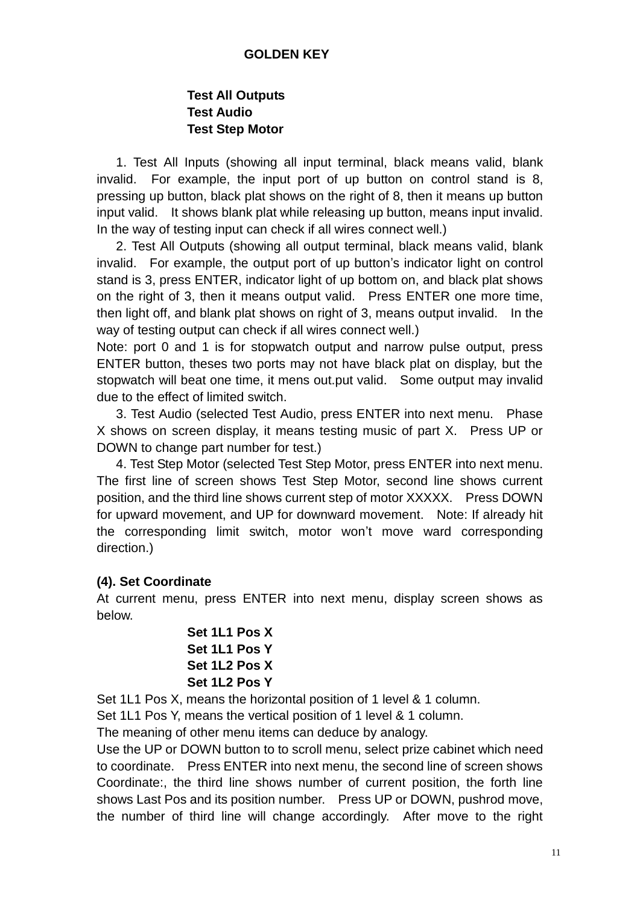### **Test All Outputs Test Audio Test Step Motor**

 1. Test All Inputs (showing all input terminal, black means valid, blank invalid. For example, the input port of up button on control stand is 8, pressing up button, black plat shows on the right of 8, then it means up button input valid. It shows blank plat while releasing up button, means input invalid. In the way of testing input can check if all wires connect well.)

 2. Test All Outputs (showing all output terminal, black means valid, blank invalid. For example, the output port of up button's indicator light on control stand is 3, press ENTER, indicator light of up bottom on, and black plat shows on the right of 3, then it means output valid. Press ENTER one more time, then light off, and blank plat shows on right of 3, means output invalid. In the way of testing output can check if all wires connect well.)

Note: port 0 and 1 is for stopwatch output and narrow pulse output, press ENTER button, theses two ports may not have black plat on display, but the stopwatch will beat one time, it mens out.put valid. Some output may invalid due to the effect of limited switch.

 3. Test Audio (selected Test Audio, press ENTER into next menu. Phase X shows on screen display, it means testing music of part X. Press UP or DOWN to change part number for test.)

 4. Test Step Motor (selected Test Step Motor, press ENTER into next menu. The first line of screen shows Test Step Motor, second line shows current position, and the third line shows current step of motor XXXXX. Press DOWN for upward movement, and UP for downward movement. Note: If already hit the corresponding limit switch, motor won't move ward corresponding direction.)

#### **(4). Set Coordinate**

At current menu, press ENTER into next menu, display screen shows as below.

```
 Set 1L1 Pos X
Set 1L1 Pos Y
Set 1L2 Pos X 
Set 1L2 Pos Y
```
Set 1L1 Pos X, means the horizontal position of 1 level & 1 column.

Set 1L1 Pos Y, means the vertical position of 1 level & 1 column.

The meaning of other menu items can deduce by analogy.

Use the UP or DOWN button to to scroll menu, select prize cabinet which need to coordinate. Press ENTER into next menu, the second line of screen shows Coordinate:, the third line shows number of current position, the forth line shows Last Pos and its position number. Press UP or DOWN, pushrod move, the number of third line will change accordingly. After move to the right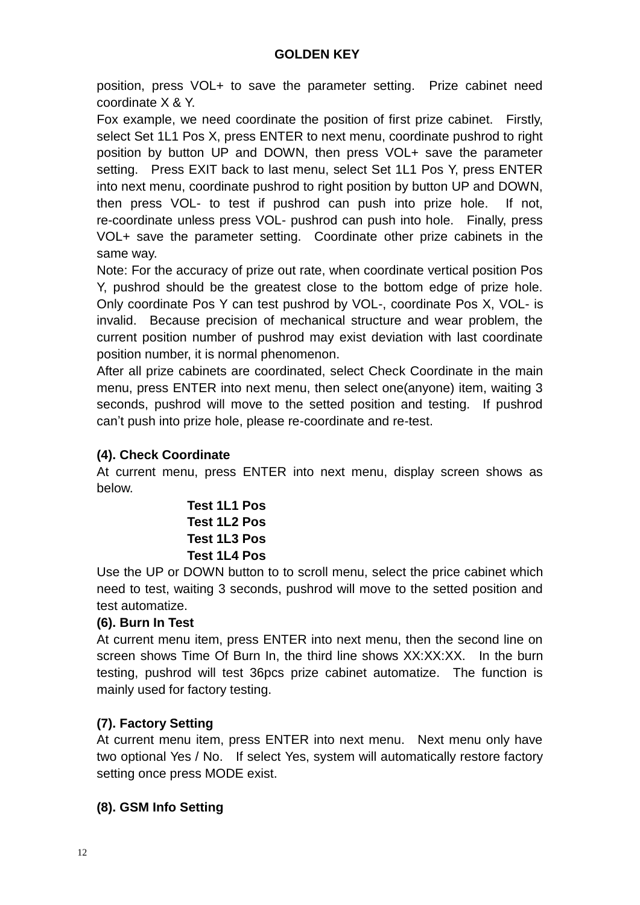position, press VOL+ to save the parameter setting. Prize cabinet need coordinate X & Y.

Fox example, we need coordinate the position of first prize cabinet. Firstly, select Set 1L1 Pos X, press ENTER to next menu, coordinate pushrod to right position by button UP and DOWN, then press VOL+ save the parameter setting. Press EXIT back to last menu, select Set 1L1 Pos Y, press ENTER into next menu, coordinate pushrod to right position by button UP and DOWN, then press VOL- to test if pushrod can push into prize hole. If not, re-coordinate unless press VOL- pushrod can push into hole. Finally, press VOL+ save the parameter setting. Coordinate other prize cabinets in the same way.

Note: For the accuracy of prize out rate, when coordinate vertical position Pos Y, pushrod should be the greatest close to the bottom edge of prize hole. Only coordinate Pos Y can test pushrod by VOL-, coordinate Pos X, VOL- is invalid. Because precision of mechanical structure and wear problem, the current position number of pushrod may exist deviation with last coordinate position number, it is normal phenomenon.

After all prize cabinets are coordinated, select Check Coordinate in the main menu, press ENTER into next menu, then select one(anyone) item, waiting 3 seconds, pushrod will move to the setted position and testing. If pushrod can't push into prize hole, please re-coordinate and re-test.

### **(4). Check Coordinate**

At current menu, press ENTER into next menu, display screen shows as below.

> **Test 1L1 Pos Test 1L2 Pos Test 1L3 Pos Test 1L4 Pos**

Use the UP or DOWN button to to scroll menu, select the price cabinet which need to test, waiting 3 seconds, pushrod will move to the setted position and test automatize.

#### **(6). Burn In Test**

At current menu item, press ENTER into next menu, then the second line on screen shows Time Of Burn In, the third line shows XX:XX:XX. In the burn testing, pushrod will test 36pcs prize cabinet automatize. The function is mainly used for factory testing.

#### **(7). Factory Setting**

At current menu item, press ENTER into next menu. Next menu only have two optional Yes / No. If select Yes, system will automatically restore factory setting once press MODE exist.

#### **(8). GSM Info Setting**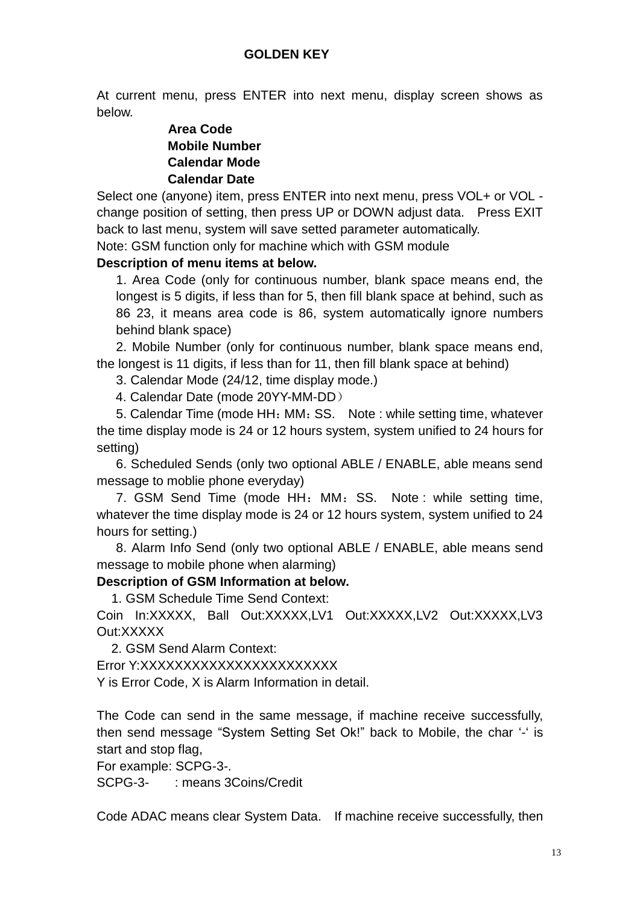At current menu, press ENTER into next menu, display screen shows as below.

#### **Area Code Mobile Number Calendar Mode Calendar Date**

Select one (anyone) item, press ENTER into next menu, press VOL+ or VOL change position of setting, then press UP or DOWN adjust data. Press EXIT back to last menu, system will save setted parameter automatically.

Note: GSM function only for machine which with GSM module

#### **Description of menu items at below.**

1. Area Code (only for continuous number, blank space means end, the longest is 5 digits, if less than for 5, then fill blank space at behind, such as 86 23, it means area code is 86, system automatically ignore numbers behind blank space)

 2. Mobile Number (only for continuous number, blank space means end, the longest is 11 digits, if less than for 11, then fill blank space at behind)

3. Calendar Mode (24/12, time display mode.)

4. Calendar Date (mode 20YY-MM-DD)

5. Calendar Time (mode HH: MM: SS. Note : while setting time, whatever the time display mode is 24 or 12 hours system, system unified to 24 hours for setting)

6. Scheduled Sends (only two optional ABLE / ENABLE, able means send message to moblie phone everyday)

7. GSM Send Time (mode HH: MM: SS. Note : while setting time, whatever the time display mode is 24 or 12 hours system, system unified to 24 hours for setting.)

8. Alarm Info Send (only two optional ABLE / ENABLE, able means send message to mobile phone when alarming)

### **Description of GSM Information at below.**

1. GSM Schedule Time Send Context:

Coin In:XXXXX, Ball Out:XXXXX,LV1 Out:XXXXX,LV2 Out:XXXXX,LV3 Out:XXXXX

2. GSM Send Alarm Context:

Error Y:XXXXXXXXXXXXXXXXXXXXXXX

Y is Error Code, X is Alarm Information in detail.

The Code can send in the same message, if machine receive successfully, then send message "System Setting Set Ok!" back to Mobile, the char '-' is start and stop flag,

For example: SCPG-3-.

SCPG-3- : means 3Coins/Credit

Code ADAC means clear System Data. If machine receive successfully, then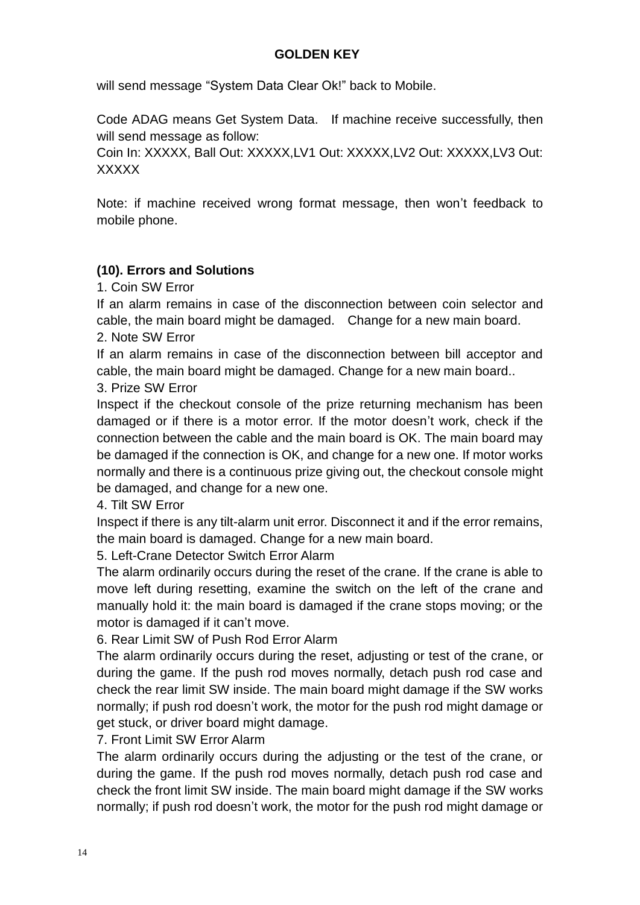will send message "System Data Clear Ok!" back to Mobile.

Code ADAG means Get System Data. If machine receive successfully, then will send message as follow:

Coin In: XXXXX, Ball Out: XXXXX,LV1 Out: XXXXX,LV2 Out: XXXXX,LV3 Out: **XXXXX** 

Note: if machine received wrong format message, then won't feedback to mobile phone.

#### **(10). Errors and Solutions**

1. Coin SW Error

If an alarm remains in case of the disconnection between coin selector and cable, the main board might be damaged. Change for a new main board.

2. Note SW Error

If an alarm remains in case of the disconnection between bill acceptor and cable, the main board might be damaged. Change for a new main board..

#### 3. Prize SW Error

Inspect if the checkout console of the prize returning mechanism has been damaged or if there is a motor error. If the motor doesn't work, check if the connection between the cable and the main board is OK. The main board may be damaged if the connection is OK, and change for a new one. If motor works normally and there is a continuous prize giving out, the checkout console might be damaged, and change for a new one.

4. Tilt SW Error

Inspect if there is any tilt-alarm unit error. Disconnect it and if the error remains, the main board is damaged. Change for a new main board.

5. Left-Crane Detector Switch Error Alarm

The alarm ordinarily occurs during the reset of the crane. If the crane is able to move left during resetting, examine the switch on the left of the crane and manually hold it: the main board is damaged if the crane stops moving; or the motor is damaged if it can't move.

6. Rear Limit SW of Push Rod Error Alarm

The alarm ordinarily occurs during the reset, adjusting or test of the crane, or during the game. If the push rod moves normally, detach push rod case and check the rear limit SW inside. The main board might damage if the SW works normally; if push rod doesn't work, the motor for the push rod might damage or get stuck, or driver board might damage.

7. Front Limit SW Error Alarm

The alarm ordinarily occurs during the adjusting or the test of the crane, or during the game. If the push rod moves normally, detach push rod case and check the front limit SW inside. The main board might damage if the SW works normally; if push rod doesn't work, the motor for the push rod might damage or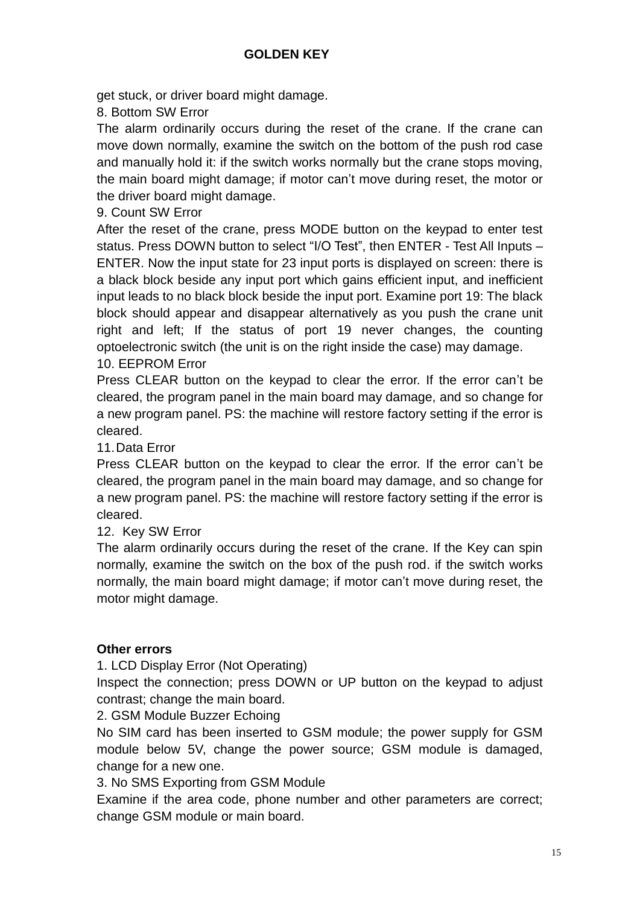get stuck, or driver board might damage.

8. Bottom SW Error

The alarm ordinarily occurs during the reset of the crane. If the crane can move down normally, examine the switch on the bottom of the push rod case and manually hold it: if the switch works normally but the crane stops moving, the main board might damage; if motor can't move during reset, the motor or the driver board might damage.

9. Count SW Error

After the reset of the crane, press MODE button on the keypad to enter test status. Press DOWN button to select "I/O Test", then ENTER - Test All Inputs – ENTER. Now the input state for 23 input ports is displayed on screen: there is a black block beside any input port which gains efficient input, and inefficient input leads to no black block beside the input port. Examine port 19: The black block should appear and disappear alternatively as you push the crane unit right and left; If the status of port 19 never changes, the counting optoelectronic switch (the unit is on the right inside the case) may damage.

#### 10. EEPROM Error

Press CLEAR button on the keypad to clear the error. If the error can't be cleared, the program panel in the main board may damage, and so change for a new program panel. PS: the machine will restore factory setting if the error is cleared.

11.Data Error

Press CLEAR button on the keypad to clear the error. If the error can't be cleared, the program panel in the main board may damage, and so change for a new program panel. PS: the machine will restore factory setting if the error is cleared.

12. Key SW Error

The alarm ordinarily occurs during the reset of the crane. If the Key can spin normally, examine the switch on the box of the push rod. if the switch works normally, the main board might damage; if motor can't move during reset, the motor might damage.

#### **Other errors**

1. LCD Display Error (Not Operating)

Inspect the connection; press DOWN or UP button on the keypad to adjust contrast; change the main board.

2. GSM Module Buzzer Echoing

No SIM card has been inserted to GSM module; the power supply for GSM module below 5V, change the power source; GSM module is damaged, change for a new one.

3. No SMS Exporting from GSM Module

Examine if the area code, phone number and other parameters are correct; change GSM module or main board.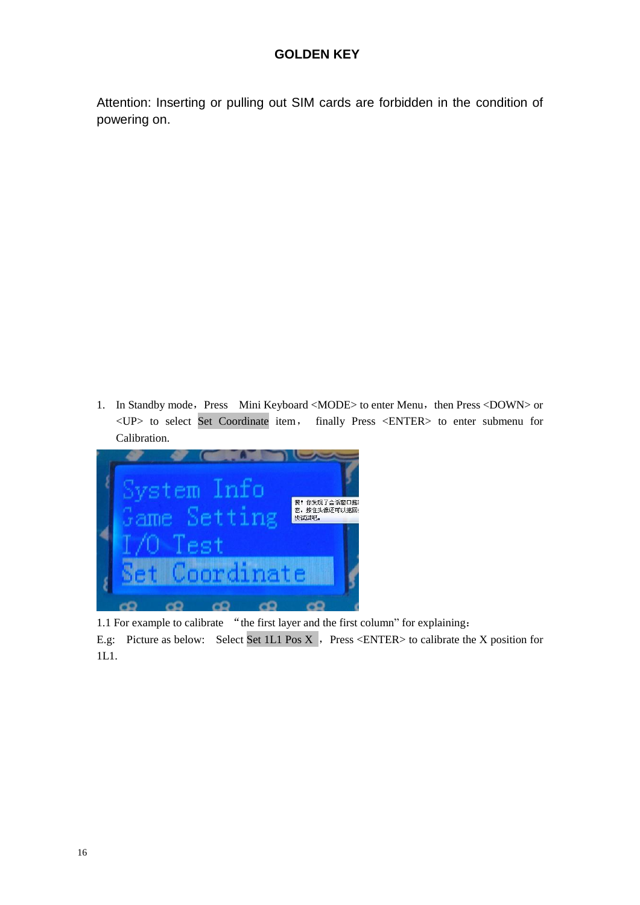Attention: Inserting or pulling out SIM cards are forbidden in the condition of powering on.

1. In Standby mode, Press Mini Keyboard <MODE> to enter Menu, then Press <DOWN> or <UP> to select Set Coordinate item, finally Press <ENTER> to enter submenu for Calibration.



1.1 For example to calibrate "the first layer and the first column" for explaining: E.g: Picture as below: Select Set 1L1 Pos X, Press <ENTER> to calibrate the X position for 1L1.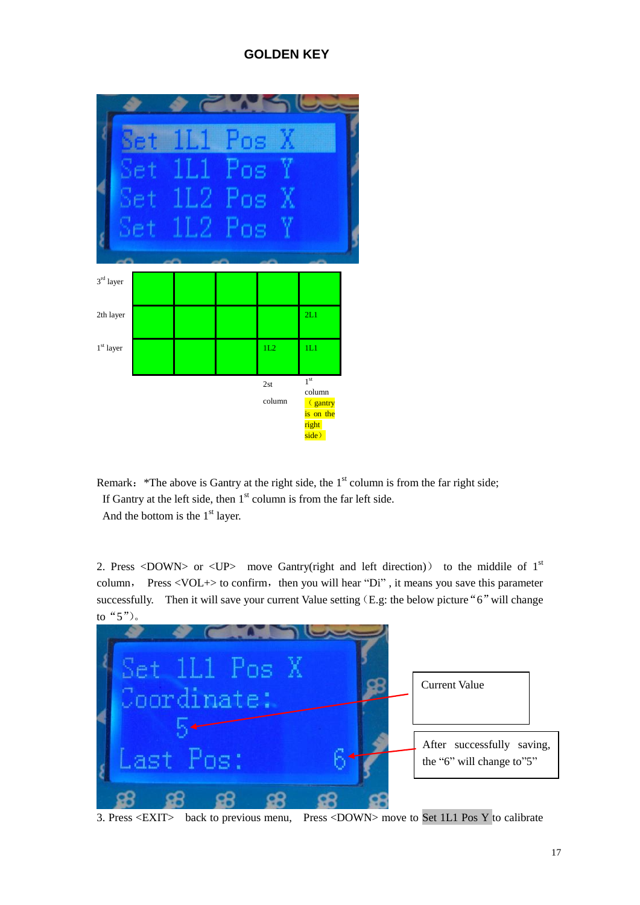

Remark: \*The above is Gantry at the right side, the  $1<sup>st</sup>$  column is from the far right side; If Gantry at the left side, then  $1<sup>st</sup>$  column is from the far left side. And the bottom is the  $1<sup>st</sup>$  layer.

2. Press <DOWN> or <UP> move Gantry(right and left direction)) to the middile of  $1<sup>st</sup>$ column, Press  $\langle \text{VOL+}\rangle$  to confirm, then you will hear "Di", it means you save this parameter successfully. Then it will save your current Value setting  $(E.g.:$  the below picture "6" will change to"5")。



3. Press <EXIT> back to previous menu, Press <DOWN> move to Set 1L1 Pos Y to calibrate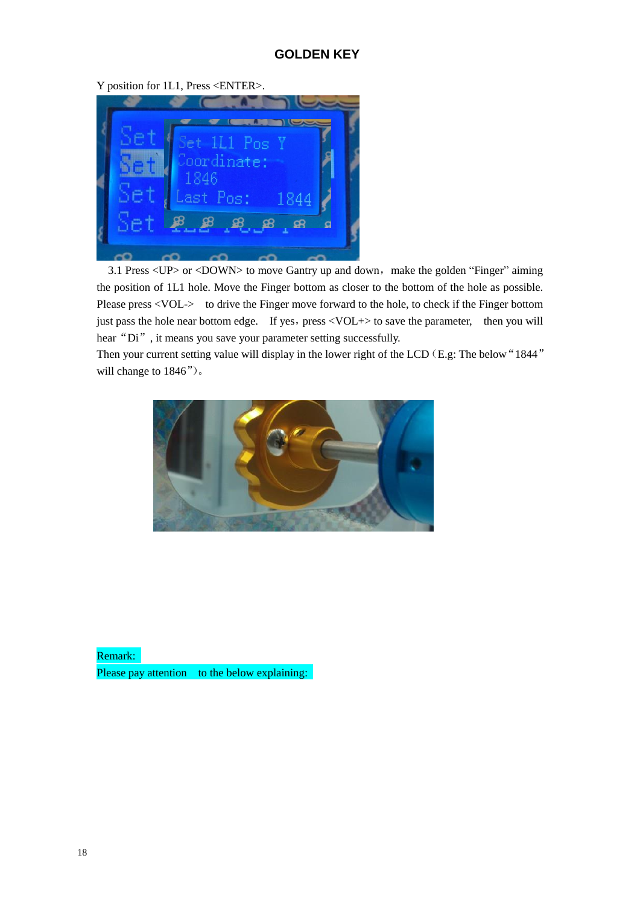Y position for 1L1, Press <ENTER>.



3.1 Press <UP> or <DOWN> to move Gantry up and down, make the golden "Finger" aiming the position of 1L1 hole. Move the Finger bottom as closer to the bottom of the hole as possible. Please press <VOL-> to drive the Finger move forward to the hole, to check if the Finger bottom just pass the hole near bottom edge. If yes, press <VOL+> to save the parameter, then you will hear "Di", it means you save your parameter setting successfully.

Then your current setting value will display in the lower right of the LCD (E.g: The below "1844" will change to 1846")。



Remark:

Please pay attention to the below explaining: